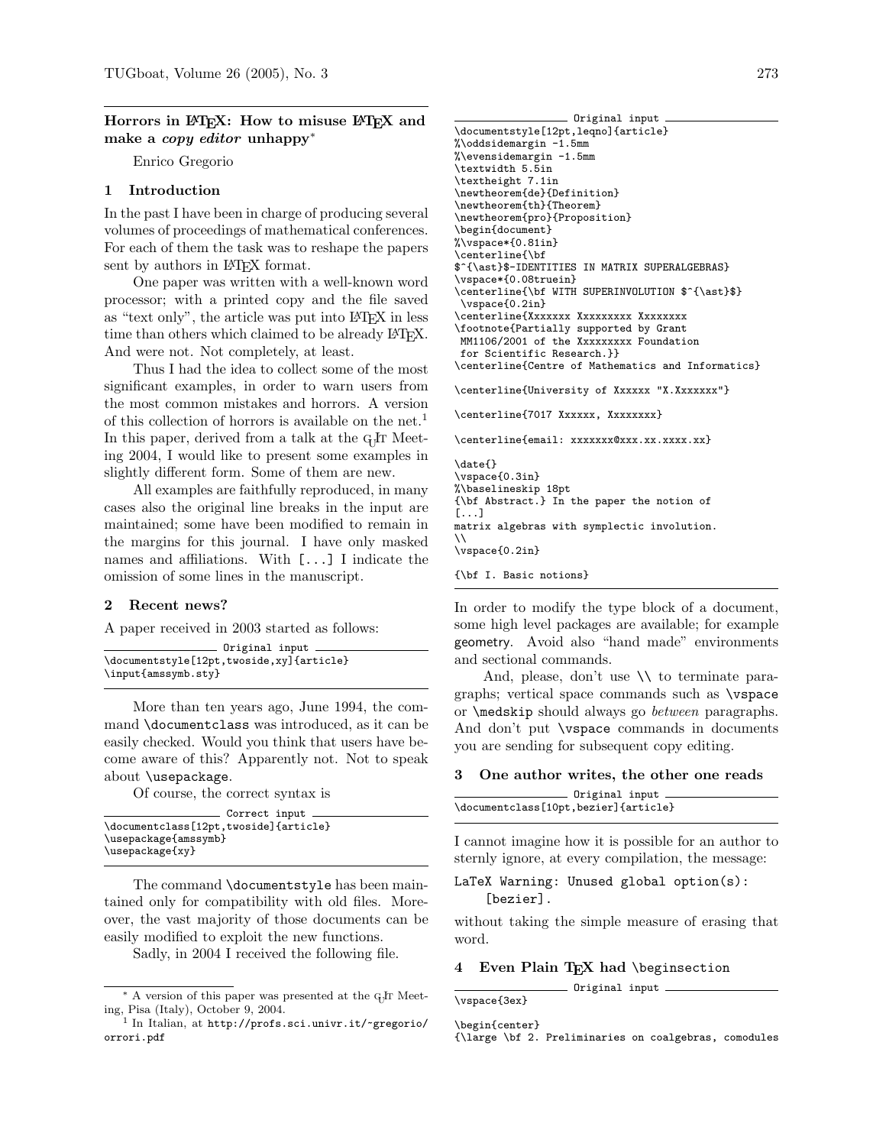# Horrors in LAT<sub>EX</sub>: How to misuse LAT<sub>EX</sub> and make a copy editor unhappy<sup>∗</sup>

Enrico Gregorio

# 1 Introduction

In the past I have been in charge of producing several volumes of proceedings of mathematical conferences. For each of them the task was to reshape the papers sent by authors in LAT<sub>F</sub>X format.

One paper was written with a well-known word processor; with a printed copy and the file saved as "text only", the article was put into LATFX in less time than others which claimed to be already LATFX. And were not. Not completely, at least.

Thus I had the idea to collect some of the most significant examples, in order to warn users from the most common mistakes and horrors. A version of this collection of horrors is available on the net.[1](#page-0-0) In this paper, derived from a talk at the G<sub>U</sub>T Meeting 2004, I would like to present some examples in slightly different form. Some of them are new.

All examples are faithfully reproduced, in many cases also the original line breaks in the input are maintained; some have been modified to remain in the margins for this journal. I have only masked names and affiliations. With [...] I indicate the omission of some lines in the manuscript.

# 2 Recent news?

A paper received in 2003 started as follows:

| Original input                           |
|------------------------------------------|
|                                          |
| \documentstyle[12pt,twoside,xy]{article} |
| \input{amssymb.sty}                      |

More than ten years ago, June 1994, the command \documentclass was introduced, as it can be easily checked. Would you think that users have become aware of this? Apparently not. Not to speak about \usepackage.

Of course, the correct syntax is

| Correct input                         |  |
|---------------------------------------|--|
| \documentclass[12pt,twoside]{article} |  |
| \usepackage{amssymb}                  |  |
| \usepackage{xy}                       |  |

The command \documentstyle has been maintained only for compatibility with old files. Moreover, the vast majority of those documents can be easily modified to exploit the new functions.

Sadly, in 2004 I received the following file.

```
Original input
\documentstyle[12pt,leqno]{article}
%\oddsidemargin -1.5mm
%\evensidemargin -1.5mm
\textwidth 5.5in
\textheight 7.1in
\newtheorem{de}{Definition}
\newtheorem{th}{Theorem}
\newtheorem{pro}{Proposition}
\begin{document}
%\vspace*{0.81in}
\centerline{\bf
$^{\ast}$-IDENTITIES IN MATRIX SUPERALGEBRAS}
\vspace*{0.08truein}
\centerline{\bf WITH SUPERINVOLUTION $^{\ast}$}
 \vspace{0.2in}
\centerline{Xxxxxxx Xxxxxxxxx Xxxxxxxx
\footnote{Partially supported by Grant
MM1106/2001 of the Xxxxxxxxx Foundation
for Scientific Research.}}
\centerline{Centre of Mathematics and Informatics}
\centerline{University of Xxxxxx "X.Xxxxxxx"}
\centerline{7017 Xxxxxx, Xxxxxxxx}
\centerline{email: xxxxxxx@xxx.xx.xxxx.xx}
\date{}
\vspace{0.3in}
```
%\baselineskip 18pt {\bf Abstract.} In the paper the notion of [...] matrix algebras with symplectic involution.  $\setminus$ \vspace{0.2in}

{\bf I. Basic notions}

In order to modify the type block of a document, some high level packages are available; for example geometry. Avoid also "hand made" environments and sectional commands.

And, please, don't use \\ to terminate paragraphs; vertical space commands such as \vspace or \medskip should always go between paragraphs. And don't put \vspace commands in documents you are sending for subsequent copy editing.

3 One author writes, the other one reads

| Original input                       |  |
|--------------------------------------|--|
| \documentclass[10pt,bezier]{article} |  |

I cannot imagine how it is possible for an author to sternly ignore, at every compilation, the message:

```
LaTeX Warning: Unused global option(s):
    [bezier].
```
without taking the simple measure of erasing that word.

### 4 Even Plain TEX had \beginsection

Original input \vspace{3ex}

\begin{center}

<sup>\*</sup> A version of this paper was presented at the G<sub>P</sub>IT Meeting, Pisa (Italy), October 9, 2004.

<span id="page-0-0"></span><sup>1</sup> In Italian, at [http://profs.sci.univr.it/~gregorio/](http://profs.sci.univr.it/~gregorio/orrori.pdf) [orrori.pdf](http://profs.sci.univr.it/~gregorio/orrori.pdf)

<sup>{\</sup>large \bf 2. Preliminaries on coalgebras, comodules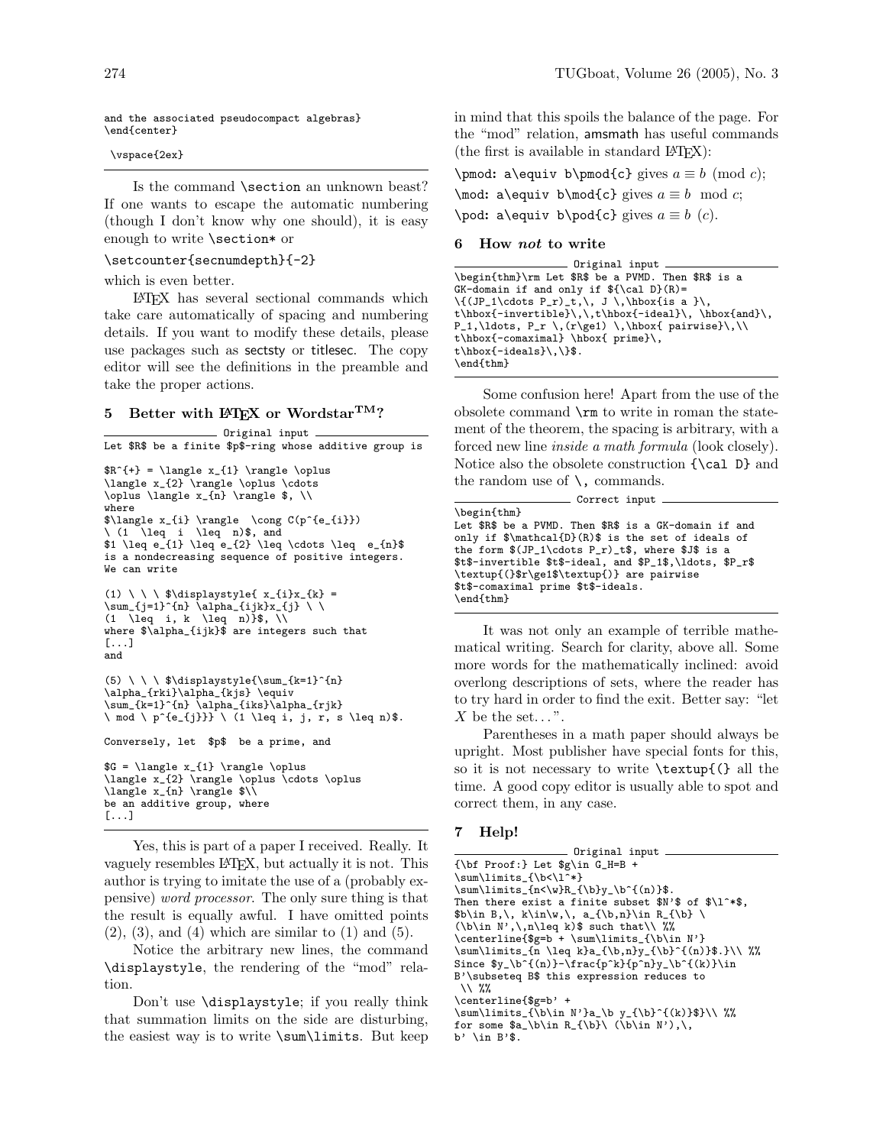and the associated pseudocompact algebras} \end{center}

\vspace{2ex}

Is the command \section an unknown beast? If one wants to escape the automatic numbering (though I don't know why one should), it is easy enough to write \section\* or

### \setcounter{secnumdepth}{-2}

which is even better.

LATEX has several sectional commands which take care automatically of spacing and numbering details. If you want to modify these details, please use packages such as sectsty or titlesec. The copy editor will see the definitions in the preamble and take the proper actions.

# 5 Better with  $\mathbb{A}\mathrm{F}X$  or Wordstar<sup>TM</sup>?

Original input Let \$R\$ be a finite \$p\$-ring whose additive group is  $R^{+} = \langle x_{1} \rangle \rightarrow \infty$ \langle x\_{2} \rangle \oplus \cdots \oplus \langle x\_{n} \rangle \$, \\ where \$\langle x\_{i} \rangle \cong C(p^{e\_{i}}) \ (1 \leq i \leq n)\$, and  $\int$   $\leq$   $e_{1} \leq e_{2} \leq \cdots$   $\leq$   $e_{n}$ is a nondecreasing sequence of positive integers. We can write (1) \ \ \ \$\displaystyle{ x\_{i}x\_{k} = \sum\_{j=1}^{n} \alpha\_{ijk}x\_{j} \ \  $(1 \ \leq q \ i, k \ \leq q \ n)$  \\$, \\ where \$\alpha\_{ijk}\$ are integers such that [...] and (5) \ \ \ \$\displaystyle{\sum\_{k=1}^{n} \alpha\_{rki}\alpha\_{kjs} \equiv \sum\_{k=1}^{n} \alpha\_{iks}\alpha\_{rjk}  $\n\times$  mod  $\n\times$  p^{e\_{j}}}  $\n\times$  (1 \leq i, j, r, s \leq n)\$. Conversely, let \$p\$ be a prime, and  $G = \langle x_{1} \rangle \rightarrow \oplus \langle x_{2} \rangle$ \langle x\_{2} \rangle \oplus \cdots \oplus \langle x\_{n} \rangle \$\\ be an additive group, where [...]

Yes, this is part of a paper I received. Really. It vaguely resembles LATEX, but actually it is not. This author is trying to imitate the use of a (probably expensive) word processor. The only sure thing is that the result is equally awful. I have omitted points  $(2)$ ,  $(3)$ , and  $(4)$  which are similar to  $(1)$  and  $(5)$ .

Notice the arbitrary new lines, the command \displaystyle, the rendering of the "mod" relation.

Don't use \displaystyle; if you really think that summation limits on the side are disturbing, the easiest way is to write \sum\limits. But keep

in mind that this spoils the balance of the page. For the "mod" relation, amsmath has useful commands (the first is available in standard  $L^2E[X]$ :

\pmod: a\equiv b\pmod{c} gives  $a \equiv b \pmod{c}$ ; \mod: a\equiv b\mod{c} gives  $a \equiv b \mod c$ ; \pod: a\equiv b\pod{c} gives  $a \equiv b$  (c).

### 6 How not to write

Original input \begin{thm}\rm Let \$R\$ be a PVMD. Then \$R\$ is a  $GK$ -domain if and only if  $\{ \cal CR \}$  $\{(JP_1\cdots P_r)_t, \, J \, \hbox{is a }\}$ t\hbox{-invertible}\,\,t\hbox{-ideal}\, \hbox{and}\,  $P_1,\ldots, P_r \ , (r\ge1) \ ,\hbox{ pairwise}\,$ t\hbox{-comaximal} \hbox{ prime}\, t\hbox{-ideals}\,\}\$. \end{thm}

Some confusion here! Apart from the use of the obsolete command \rm to write in roman the statement of the theorem, the spacing is arbitrary, with a forced new line *inside a math formula* (look closely). Notice also the obsolete construction {\cal D} and the random use of  $\setminus$ , commands.

| $Correct$ input $\_\_$                                    |
|-----------------------------------------------------------|
| \begin{thm}                                               |
| Let \$R\$ be a PVMD. Then \$R\$ is a GK-domain if and     |
| only if $\mathcal{D}(R)\$ is the set of ideals of         |
| the form $(JP_1\cdots P_r)_t$ , where $J$ is a            |
| \$t\$-invertible \$t\$-ideal, and \$P_1\$,\ldots, \$P_r\$ |
| \textup{(}\$r\ge1\$\textup{)} are pairwise                |
| \$t\$-comaximal prime \$t\$-ideals.                       |
| \end{thm}                                                 |
|                                                           |

It was not only an example of terrible mathematical writing. Search for clarity, above all. Some more words for the mathematically inclined: avoid overlong descriptions of sets, where the reader has to try hard in order to find the exit. Better say: "let  $X$  be the set...".

Parentheses in a math paper should always be upright. Most publisher have special fonts for this, so it is not necessary to write \textup{(} all the time. A good copy editor is usually able to spot and correct them, in any case.

## 7 Help!

- Original input. {\bf Proof:} Let \$g\in G\_H=B +  $\sum\limits_{\b<\lceil^*}$  $\sum\limits_{n<\w}R_{\bb}y_\b{(n)}$ Then there exist a finite subset  $N'$  of  $\lvert N^* \rvert$ ,  $\binom{k}{k}, k\in\mathbb{N}, a_{\b,n}\in R_{\b} \$  $(\b\in N',\n\leq k)$  such that $\setminus \$ \centerline{\$g=b + \sum\limits\_{\b\in N'} \sum\limits\_{n \leq k}a\_{\b,n}y\_{\b}^{(n)}\$.}\\ %% Since  $y_\b{f(n)}-\frac{p^k}{p^n}y_\b{f(k)}\in$ B'\subseteq B\$ this expression reduces to \\ %% \centerline{\$g=b' +  $\sum\limits_{\b \in N'}$ for some  $a_\b \n\chi R_{\b} \ (\b \in N')\, \, , \,$ b' \in B'\$.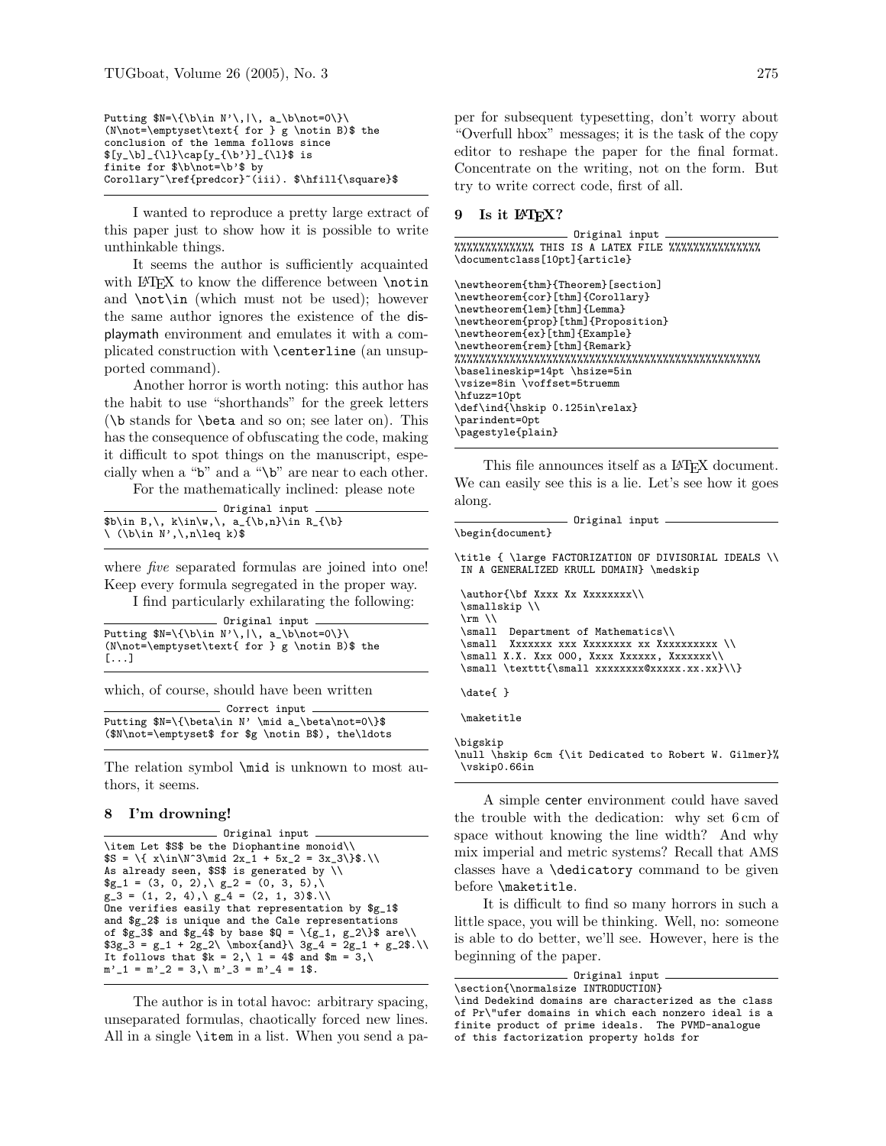```
Putting N=\{\b \in N'\,\|\,\ a_\b \not=0\}\(N\not=\emptyset\text{ for } g \notin B)$ the
conclusion of the lemma follows since
[y_{\b]_{\l{1}\cap[y_{\b}']_{\l{1}}$ is}finite for $\b\not=\b'$ by
Corollary~\ref{predcor}~(iii). $\hfill{\square}$
```
I wanted to reproduce a pretty large extract of this paper just to show how it is possible to write unthinkable things.

It seems the author is sufficiently acquainted with LAT<sub>EX</sub> to know the difference between \notin and  $\not\in \mathbb{N}$  (which must not be used); however the same author ignores the existence of the displaymath environment and emulates it with a complicated construction with \centerline (an unsupported command).

Another horror is worth noting: this author has the habit to use "shorthands" for the greek letters (\b stands for \beta and so on; see later on). This has the consequence of obfuscating the code, making it difficult to spot things on the manuscript, especially when a " $\mathbf{b}$ " and a " $\mathbf{b}$ " are near to each other.

For the mathematically inclined: please note

|                                                                 | Original input                           |
|-----------------------------------------------------------------|------------------------------------------|
|                                                                 |                                          |
|                                                                 | $b\in B,\, k\in\w,\, a_{\b,n}\in R_{\b}$ |
| $\langle \langle b \rangle$ in N', $\langle n \rangle$ leq k)\$ |                                          |

where *five* separated formulas are joined into one! Keep every formula segregated in the proper way.

I find particularly exhilarating the following:

Original input Putting \$N=\{\b\in N'\,|\, a\_\b\not=0\}\ (N\not=\emptyset\text{ for } g \notin B)\$ the [...]

which, of course, should have been written

```
Correct input
Putting $N=\{\beta\in N' \mid a_\beta\not=0\}$
($N\not=\emptyset$ for $g \notin B$), the\ldots
```
The relation symbol \mid is unknown to most authors, it seems.

#### 8 I'm drowning!

```
Original input
\item Let $S$ be the Diophantine monoid\\
$S = \{ x \in\N^3\mid 2x_1 + 5x_2 = 3x_3\}.
As already seen, $S$ is generated by \\
g_1 = (3, 0, 2), \ g_2 = (0, 3, 5),g_3 = (1, 2, 4), \quad g_4 = (2, 1, 3)$.
One verifies easily that representation by $g_1$
and $g_2$ is unique and the Cale representations
of g_3 and g_4 by base Q = \{g_1, g_2\} are\setminus3g_3 = g_1 + 2g_2\ \hbox{and}\ 3g_4 = 2g_1 + g_2\It follows that k = 2, \ 1 = 4 and m = 3, \ 1m'_{1} = m'_{2} = 3, \ m'_{3} = m'_{4} = 1$.
```
The author is in total havoc: arbitrary spacing, unseparated formulas, chaotically forced new lines. All in a single \item in a list. When you send a paper for subsequent typesetting, don't worry about "Overfull hbox" messages; it is the task of the copy editor to reshape the paper for the final format. Concentrate on the writing, not on the form. But try to write correct code, first of all.

# 9 Is it LATFX?

Original input  $% \mathcal{W}(\mathcal{W}) = \mathcal{W}(\mathcal{W}) = \mathcal{W}(\mathcal{W})$  where  $\mathcal{W}(\mathcal{W})$  and  $\mathcal{W}(\mathcal{W})$  with  $\mathcal{W}(\mathcal{W})$  and  $\mathcal{W}(\mathcal{W})$  and  $\mathcal{W}(\mathcal{W})$  and  $\mathcal{W}(\mathcal{W})$  and  $\mathcal{W}(\mathcal{W})$  and  $\mathcal{W}(\mathcal{W})$  and  $\mathcal{W}(\mathcal{W})$  and \documentclass[10pt]{article}

```
\newtheorem{thm}{Theorem}[section]
\newtheorem{cor}[thm]{Corollary}
\newtheorem{lem}[thm]{Lemma}
\newtheorem{prop}[thm]{Proposition}
\newtheorem{ex}[thm]{Example}
\newtheorem{rem}[thm]{Remark}
%%%%%%%%%%%%%%%%%%%%%%%%%%%%%%%%%%%%%%%%%%%%%%%%%%
\baselineskip=14pt \hsize=5in
\vsize=8in \voffset=5truemm
\hfuzz=10pt
\def\ind{\hskip 0.125in\relax}
\parindent=0pt
\pagestyle{plain}
```
This file announces itself as a LAT<sub>EX</sub> document. We can easily see this is a lie. Let's see how it goes along.

```
- Original input -
\begin{document}
```
\title { \large FACTORIZATION OF DIVISORIAL IDEALS \\ IN A GENERALIZED KRULL DOMAIN} \medskip

```
\author{\bf Xxxx Xx Xxxxxxxx\\
 \smallskip \\
 \rm\\small Department of Mathematics\\
 \small Xxxxxxx xxx Xxxxxxxx xx Xxxxxxxxxx \\
 \sum_{x.x. Xxx 000, Xxxx Xxxxxx, Xxxxxx\leq 0\small \label{c:small} $$\smash \sum l \texttt{\sumall xxxxxxxxxx0xxxxxx.xx.xx}.\date{ }
 \maketitle
\bigskip
```
\null \hskip 6cm {\it Dedicated to Robert W. Gilmer}% \vskip0.66in

A simple center environment could have saved the trouble with the dedication: why set 6 cm of space without knowing the line width? And why mix imperial and metric systems? Recall that AMS classes have a \dedicatory command to be given before \maketitle.

It is difficult to find so many horrors in such a little space, you will be thinking. Well, no: someone is able to do better, we'll see. However, here is the beginning of the paper.

```
Original input
\section{\normalsize INTRODUCTION}
\ind Dedekind domains are characterized as the class
of Pr\"ufer domains in which each nonzero ideal is a
finite product of prime ideals. The PVMD-analogue
```
of this factorization property holds for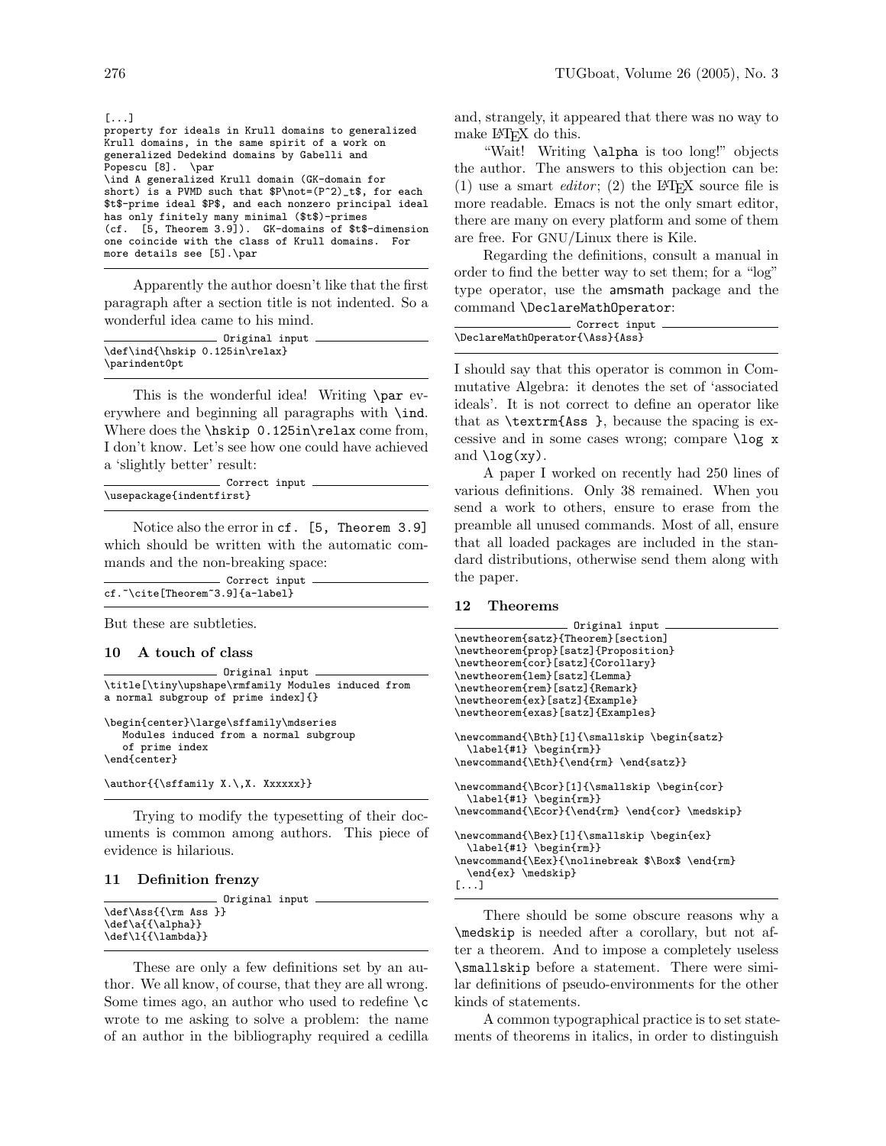| $[\ldots]$                                                |
|-----------------------------------------------------------|
| property for ideals in Krull domains to generalized       |
| Krull domains, in the same spirit of a work on            |
| generalized Dedekind domains by Gabelli and               |
| Popescu [8]. \par                                         |
| \ind A generalized Krull domain (GK-domain for            |
| short) is a PVMD such that $P\not=(P^2)_t$ , for each     |
| \$t\$-prime ideal \$P\$, and each nonzero principal ideal |
| has only finitely many minimal (\$t\$)-primes             |
| (cf. [5, Theorem 3.9]). GK-domains of \$t\$-dimension     |
| one coincide with the class of Krull domains. For         |
| more details see [5].\par                                 |
|                                                           |

Apparently the author doesn't like that the first paragraph after a section title is not indented. So a wonderful idea came to his mind.

| Original input                 |  |
|--------------------------------|--|
|                                |  |
| \def\ind{\hskip 0.125in\relax} |  |
| \parindent0pt                  |  |

This is the wonderful idea! Writing \par everywhere and beginning all paragraphs with \ind. Where does the \hskip 0.125in\relax come from, I don't know. Let's see how one could have achieved a 'slightly better' result:

|                          | Correct input. |  |
|--------------------------|----------------|--|
| \usepackage{indentfirst} |                |  |

Notice also the error in cf. [5, Theorem 3.9] which should be written with the automatic commands and the non-breaking space:

| Correct input                   |  |
|---------------------------------|--|
| cf.~\cite[Theorem~3.9]{a-label} |  |

But these are subtleties.

### 10 A touch of class

```
Original input
\title[\tiny\upshape\rmfamily Modules induced from
a normal subgroup of prime index]{}
\begin{center}\large\sffamily\mdseries
   Modules induced from a normal subgroup
   of prime index
\end{center}
\author{{\sffamily X.\,X. Xxxxxx}}
```
Trying to modify the typesetting of their documents is common among authors. This piece of evidence is hilarious.

#### 11 Definition frenzy

|                                                                   | Original input |
|-------------------------------------------------------------------|----------------|
| \def\Ass{{\rm Ass }}<br>$\def\{ {\alpha} \}$<br>\def\1{{\lambda}} |                |

These are only a few definitions set by an author. We all know, of course, that they are all wrong. Some times ago, an author who used to redefine  $\c$ wrote to me asking to solve a problem: the name of an author in the bibliography required a cedilla and, strangely, it appeared that there was no way to make L<sup>AT</sup>FX do this.

"Wait! Writing \alpha is too long!" objects the author. The answers to this objection can be: (1) use a smart *editor*; (2) the LAT<sub>F</sub>X source file is more readable. Emacs is not the only smart editor, there are many on every platform and some of them are free. For GNU/Linux there is Kile.

Regarding the definitions, consult a manual in order to find the better way to set them; for a "log" type operator, use the amsmath package and the command \DeclareMathOperator:

| Correct input                   |  |
|---------------------------------|--|
| \DeclareMathOperator{\Ass}{Ass} |  |

I should say that this operator is common in Commutative Algebra: it denotes the set of 'associated ideals'. It is not correct to define an operator like that as \textrm{Ass }, because the spacing is excessive and in some cases wrong; compare \log x and  $\log(xy)$ .

A paper I worked on recently had 250 lines of various definitions. Only 38 remained. When you send a work to others, ensure to erase from the preamble all unused commands. Most of all, ensure that all loaded packages are included in the standard distributions, otherwise send them along with the paper.

#### 12 Theorems

```
Original input
\newtheorem{satz}{Theorem}[section]
\newtheorem{prop}[satz]{Proposition}
\newtheorem{cor}[satz]{Corollary}
\newtheorem{lem}[satz]{Lemma}
\newtheorem{rem}[satz]{Remark}
\newtheorem{ex}[satz]{Example}
\newtheorem{exas}[satz]{Examples}
\newcommand{\Bth}[1]{\smallskip \begin{satz}
  \label{#1} \begin{rm}}
\newcommand{\Eth}{\end{rm} \end{satz}}
\newcommand{\Bcor}[1]{\smallskip \begin{cor}
  \label{#1} \begin{rm}}
\verb+\newcommand{{\Cor}{\end{rm} \end{cor} \medskip \verb+medskip}\newcommand{\Bex}[1]{\smallskip \begin{ex}
  \label{#1} \begin{rm}}
\newcommand{\Eex}{\nolinebreak $\Box$ \end{rm}
  \end{ex} \medskip}
[...]
```
There should be some obscure reasons why a \medskip is needed after a corollary, but not after a theorem. And to impose a completely useless \smallskip before a statement. There were similar definitions of pseudo-environments for the other kinds of statements.

A common typographical practice is to set statements of theorems in italics, in order to distinguish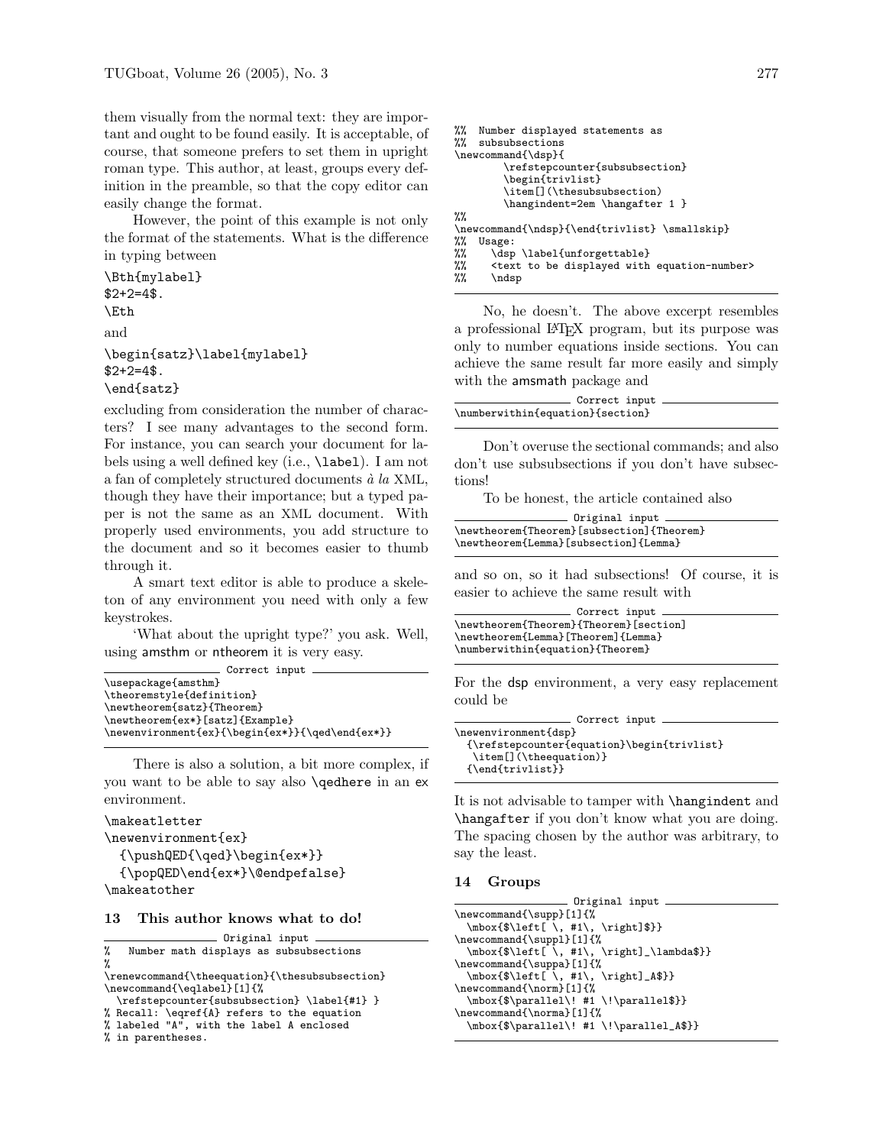them visually from the normal text: they are important and ought to be found easily. It is acceptable, of course, that someone prefers to set them in upright roman type. This author, at least, groups every definition in the preamble, so that the copy editor can easily change the format.

However, the point of this example is not only the format of the statements. What is the difference in typing between

```
\Bth{mylabel}
$2+2=4$.
\Eth
and
\begin{satz}\label{mylabel}
$2+2=4$.
\end{satz}
```
excluding from consideration the number of characters? I see many advantages to the second form. For instance, you can search your document for labels using a well defined key (i.e., \label). I am not a fan of completely structured documents  $\dot{a}$  la XML, though they have their importance; but a typed paper is not the same as an XML document. With properly used environments, you add structure to the document and so it becomes easier to thumb through it.

A smart text editor is able to produce a skeleton of any environment you need with only a few keystrokes.

'What about the upright type?' you ask. Well, using amsthm or ntheorem it is very easy. Correct input

| - correce rubue —                               |
|-------------------------------------------------|
| \usepackage{amsthm}                             |
| \theoremstyle{definition}                       |
| \newtheorem{satz}{Theorem}                      |
| \newtheorem{ex*}[satz]{Example}                 |
| \newenvironment{ex}{\begin{ex*}}{\qed\end{ex*}} |
|                                                 |

There is also a solution, a bit more complex, if you want to be able to say also \qedhere in an ex environment.

```
\makeatletter
```

```
\newenvironment{ex}
```

```
{\pmb{\end} \begin{bmatrix} \begin{bmatrix} \end{bmatrix} \end{bmatrix}{\popQED\end{ex*}\@endpefalse}
\makeatother
```
#### 13 This author knows what to do!

```
Original input
% Number math displays as subsubsections
\gamma
```

```
\renewcommand{\theequation}{\thesubsubsection}
\newcommand{\eqlabel}[1]{%
```

```
\refstepcounter{subsubsection} \label{#1} }
% Recall: \eqref{A} refers to the equation
% labeled "A", with the label A enclosed
```

```
% in parentheses.
```

```
%% Number displayed statements as
%% subsubsections
\newcommand{\dsp}{
        \refstepcounter{subsubsection}
        \begin{trivlist}
        \item<sup>[]</sup>(\thesubsubsection)
        \hangindent=2em \hangafter 1 }
%%
\newcommand{\ndsp}{\end{trivlist} \smallskip}
%% Usage:
%% \dsp \label{unforgettable}
%% <text to be displayed with equation-number><br>%% \ndsp
      \ndsp
```
No, he doesn't. The above excerpt resembles a professional LATEX program, but its purpose was only to number equations inside sections. You can achieve the same result far more easily and simply with the amsmath package and

| Correct input                    |  |
|----------------------------------|--|
| \numberwithin{equation}{section} |  |

Don't overuse the sectional commands; and also don't use subsubsections if you don't have subsections!

To be honest, the article contained also

| Original input $-$                        |  |
|-------------------------------------------|--|
|                                           |  |
| \newtheorem{Theorem}[subsection]{Theorem} |  |
| \newtheorem{Lemma}[subsection]{Lemma}     |  |

and so on, so it had subsections! Of course, it is easier to achieve the same result with

```
Correct input
\newtheorem{Theorem}{Theorem}[section]
\newtheorem{Lemma}[Theorem]{Lemma}
\numberwithin{equation}{Theorem}
```
For the dsp environment, a very easy replacement could be

```
Correct input
\newenvironment{dsp}
 {\refstepcounter{equation}\begin{trivlist}
   \item[](\theequation)}
 {\end{trivlist}}
```
It is not advisable to tamper with \hangindent and \hangafter if you don't know what you are doing. The spacing chosen by the author was arbitrary, to say the least.

# 14 Groups

| Original input                                                      |
|---------------------------------------------------------------------|
| \newcommand{\supp}[1]{%                                             |
| $\label{thm:main} $$\mbox{${\left \, \, *1\\, \, *1\\, \, *1\\} $$$ |
| \newcommand{\suppl}[1]{%                                            |
| \mbox{\$\left[\, #1\, \right]_\lambda\$}}                           |
| \newcommand{\suppa}[1]{%                                            |
| $\mbox{\$\left[ \, ,\, #1\, ,\, \right] _A$}$                       |
| \newcommand{\norm}[1]{%                                             |
| $\mbox{\$\parals\!1 \; #1 \;\;\parals\}$                            |
| \newcommand{\norma}[1]{%                                            |
| \mbox{\$\parallel\! #1 \!\parallel_A\$}}                            |
|                                                                     |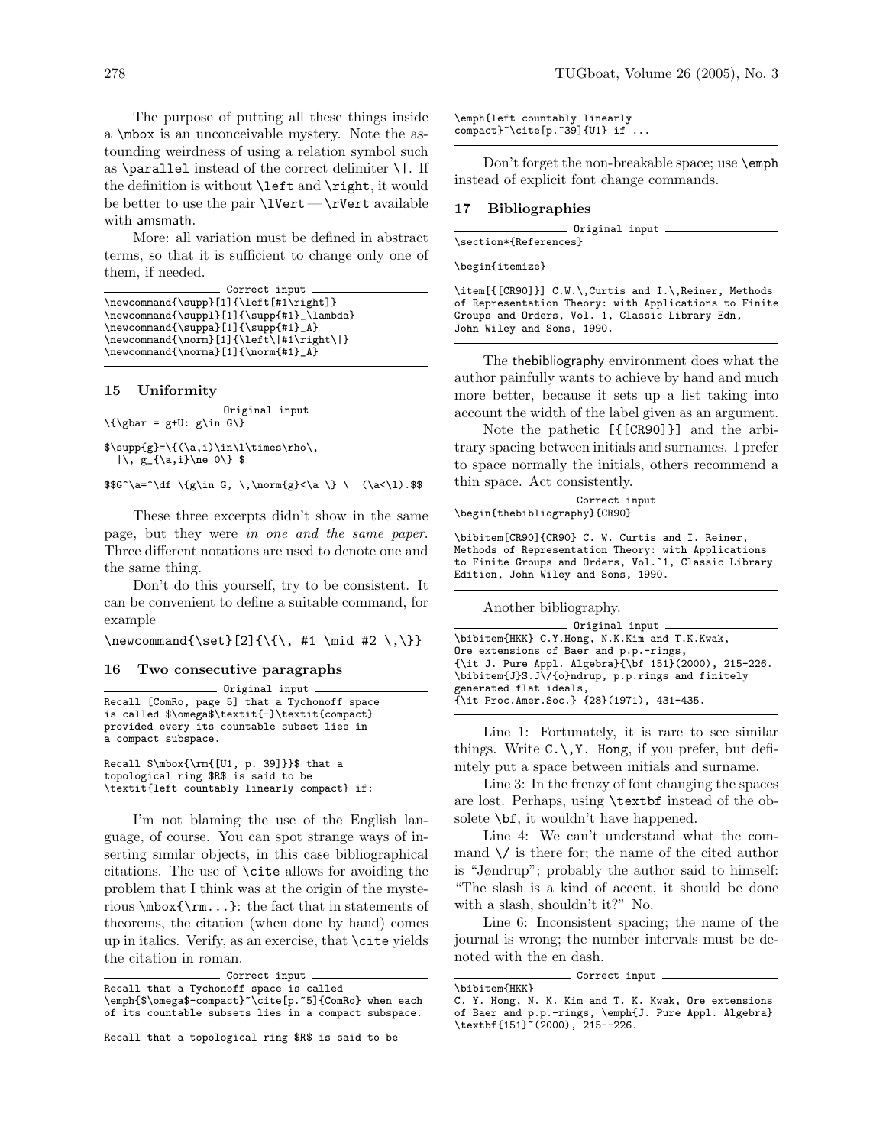The purpose of putting all these things inside a \mbox is an unconceivable mystery. Note the astounding weirdness of using a relation symbol such as  $\partial$  instead of the correct delimiter  $\iota$ . If the definition is without \left and \right, it would be better to use the pair  $\Upsilon-\rVert$  wert available with amsmath.

More: all variation must be defined in abstract terms, so that it is sufficient to change only one of them, if needed.

```
Correct input
\newcommand{\supp}[1]{\left[#1\right]}
\newcommand{\suppl}[1]{\supp{#1}_\lambda}
\verb+\newcommand{\\simeq*|f1]{\supp{#1}_A}\newcommand{\norm}[1]{\left\|#1\right\|}
\newcommand{\\norm{1}{\norm{1}}{\norm{#1}_A}
```
# 15 Uniformity

Original input  $\{\gamma = g+U: g\in G\}$  $\supp{g}=\{(\a,i)\in\l\times\rho\},\$  $|\n\,, g_{\a,i}\n$ e 0\} \$

 $$G^a=\dagger \{g\in G, \,\infty\} \ \ (a<\l1).$ 

These three excerpts didn't show in the same page, but they were in one and the same paper. Three different notations are used to denote one and the same thing.

Don't do this yourself, try to be consistent. It can be convenient to define a suitable command, for example

\newcommand{\set}[2]{\{\, #1 \mid #2 \,\}}

## 16 Two consecutive paragraphs

Original input Recall [ComRo, page 5] that a Tychonoff space is called \$\omega\$\textit{-}\textit{compact} provided every its countable subset lies in a compact subspace.

Recall \$\mbox{\rm{[U1, p. 39]}}\$ that a topological ring \$R\$ is said to be \textit{left countably linearly compact} if:

I'm not blaming the use of the English language, of course. You can spot strange ways of inserting similar objects, in this case bibliographical citations. The use of \cite allows for avoiding the problem that I think was at the origin of the mysterious \mbox{\rm...}: the fact that in statements of theorems, the citation (when done by hand) comes up in italics. Verify, as an exercise, that \cite yields the citation in roman.

```
Correct input
Recall that a Tychonoff space is called
\emph{$\omega$-compact}~\cite[p.~5]{ComRo} when each
of its countable subsets lies in a compact subspace.
```
\emph{left countably linearly  $compact$   $\tilde{p}.~39$   $\{U1\}$  if  $\ldots$ 

Don't forget the non-breakable space; use \emph instead of explicit font change commands.

#### 17 Bibliographies

Original input \section\*{References}

\begin{itemize}

\item[{[CR90]}] C.W.\,Curtis and I.\,Reiner, Methods of Representation Theory: with Applications to Finite Groups and Orders, Vol. 1, Classic Library Edn, John Wiley and Sons, 1990.

The thebibliography environment does what the author painfully wants to achieve by hand and much more better, because it sets up a list taking into account the width of the label given as an argument.

Note the pathetic [{[CR90]}] and the arbitrary spacing between initials and surnames. I prefer to space normally the initials, others recommend a thin space. Act consistently.

| Correct input                                    |  |
|--------------------------------------------------|--|
| \begin{thebibliography}{CR90}                    |  |
| \bibitem[CR90]{CR90} C. W. Curtis and I. Reiner, |  |

Methods of Representation Theory: with Applications to Finite Groups and Orders, Vol.<sup>~1</sup>, Classic Library Edition, John Wiley and Sons, 1990.

Another bibliography.

| \bibitem{HKK} C.Y.Hong, N.K.Kim and T.K.Kwak,             |
|-----------------------------------------------------------|
| Ore extensions of Baer and p.p.-rings,                    |
|                                                           |
| $\{\it t J. Pure Appl. Algebra\{\bf 151}(2000), 215-226.$ |
| \bibitem{J}S.J\/{o}ndrup, p.p.rings and finitely          |
| generated flat ideals,                                    |
| $\{\$ it Proc.Amer.Soc.} $\{28\}(1971)$ , 431-435.        |
|                                                           |

Line 1: Fortunately, it is rare to see similar things. Write  $C.\setminus, Y$ . Hong, if you prefer, but definitely put a space between initials and surname.

Line 3: In the frenzy of font changing the spaces are lost. Perhaps, using \textbf instead of the obsolete \bf, it wouldn't have happened.

Line 4: We can't understand what the command  $\sqrt{}$  is there for; the name of the cited author is "Jøndrup"; probably the author said to himself: "The slash is a kind of accent, it should be done with a slash, shouldn't it?" No.

Line 6: Inconsistent spacing; the name of the journal is wrong; the number intervals must be denoted with the en dash.

Correct input

<sup>\</sup>bibitem{HKK} C. Y. Hong, N. K. Kim and T. K. Kwak, Ore extensions of Baer and p.p.-rings, \emph{J. Pure Appl. Algebra} \textbf{151}~(2000), 215--226.